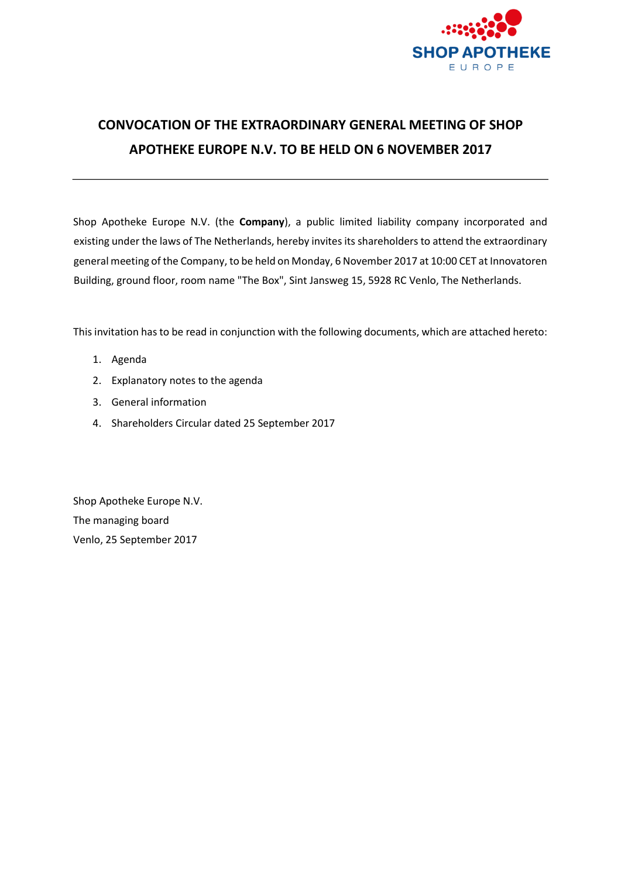

# **CONVOCATION OF THE EXTRAORDINARY GENERAL MEETING OF SHOP APOTHEKE EUROPE N.V. TO BE HELD ON 6 NOVEMBER 2017**

Shop Apotheke Europe N.V. (the **Company**), a public limited liability company incorporated and existing under the laws of The Netherlands, hereby invites its shareholders to attend the extraordinary general meeting of the Company, to be held on Monday, 6 November 2017 at 10:00 CET at Innovatoren Building, ground floor, room name "The Box", Sint Jansweg 15, 5928 RC Venlo, The Netherlands.

This invitation has to be read in conjunction with the following documents, which are attached hereto:

- 1. Agenda
- 2. Explanatory notes to the agenda
- 3. General information
- 4. Shareholders Circular dated 25 September 2017

Shop Apotheke Europe N.V. The managing board Venlo, 25 September 2017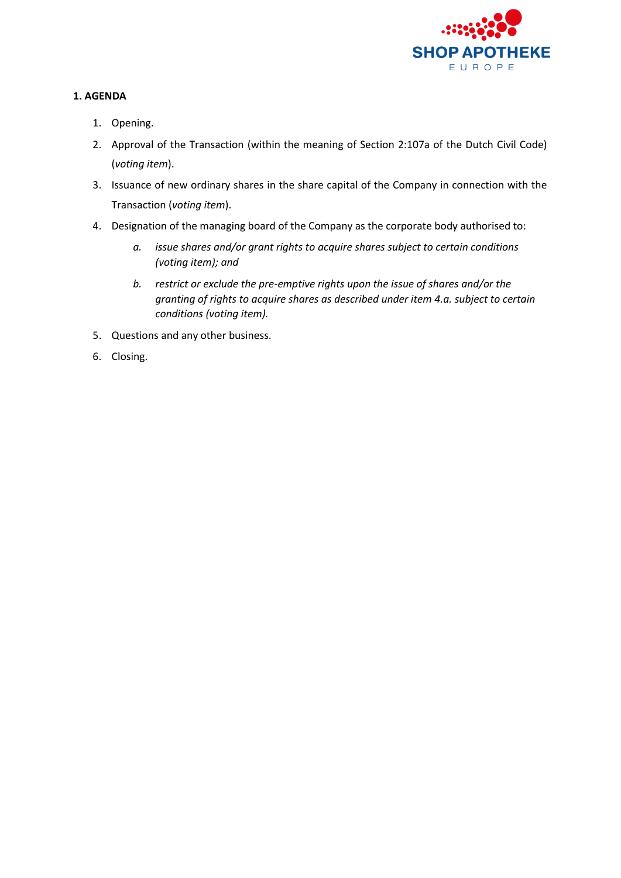

# **1. AGENDA**

- 1. Opening.
- 2. Approval of the Transaction (within the meaning of Section 2:107a of the Dutch Civil Code) (*voting item*).
- 3. Issuance of new ordinary shares in the share capital of the Company in connection with the Transaction (*voting item*).
- 4. Designation of the managing board of the Company as the corporate body authorised to:
	- *a. issue shares and/or grant rights to acquire shares subject to certain conditions (voting item); and*
	- *b. restrict or exclude the pre-emptive rights upon the issue of shares and/or the granting of rights to acquire shares as described under item 4.a. subject to certain conditions (voting item).*
- 5. Questions and any other business.
- 6. Closing.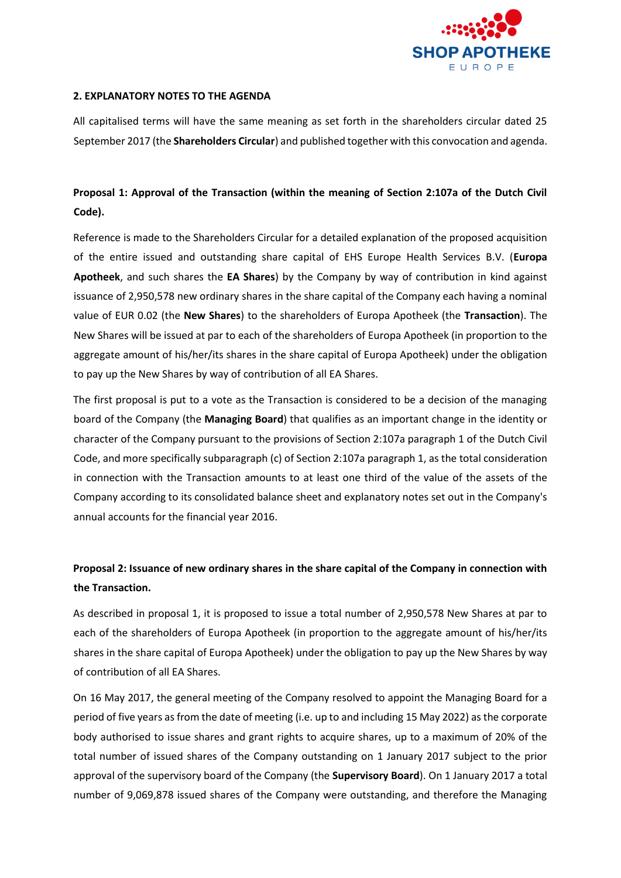

## **2. EXPLANATORY NOTES TO THE AGENDA**

All capitalised terms will have the same meaning as set forth in the shareholders circular dated 25 September 2017 (the **Shareholders Circular**) and published together with this convocation and agenda.

# **Proposal 1: Approval of the Transaction (within the meaning of Section 2:107a of the Dutch Civil Code).**

Reference is made to the Shareholders Circular for a detailed explanation of the proposed acquisition of the entire issued and outstanding share capital of EHS Europe Health Services B.V. (**Europa Apotheek**, and such shares the **EA Shares**) by the Company by way of contribution in kind against issuance of 2,950,578 new ordinary shares in the share capital of the Company each having a nominal value of EUR 0.02 (the **New Shares**) to the shareholders of Europa Apotheek (the **Transaction**). The New Shares will be issued at par to each of the shareholders of Europa Apotheek (in proportion to the aggregate amount of his/her/its shares in the share capital of Europa Apotheek) under the obligation to pay up the New Shares by way of contribution of all EA Shares.

The first proposal is put to a vote as the Transaction is considered to be a decision of the managing board of the Company (the **Managing Board**) that qualifies as an important change in the identity or character of the Company pursuant to the provisions of Section 2:107a paragraph 1 of the Dutch Civil Code, and more specifically subparagraph (c) of Section 2:107a paragraph 1, as the total consideration in connection with the Transaction amounts to at least one third of the value of the assets of the Company according to its consolidated balance sheet and explanatory notes set out in the Company's annual accounts for the financial year 2016.

# **Proposal 2: Issuance of new ordinary shares in the share capital of the Company in connection with the Transaction.**

As described in proposal 1, it is proposed to issue a total number of 2,950,578 New Shares at par to each of the shareholders of Europa Apotheek (in proportion to the aggregate amount of his/her/its shares in the share capital of Europa Apotheek) under the obligation to pay up the New Shares by way of contribution of all EA Shares.

On 16 May 2017, the general meeting of the Company resolved to appoint the Managing Board for a period of five years as from the date of meeting (i.e. up to and including 15 May 2022) as the corporate body authorised to issue shares and grant rights to acquire shares, up to a maximum of 20% of the total number of issued shares of the Company outstanding on 1 January 2017 subject to the prior approval of the supervisory board of the Company (the **Supervisory Board**). On 1 January 2017 a total number of 9,069,878 issued shares of the Company were outstanding, and therefore the Managing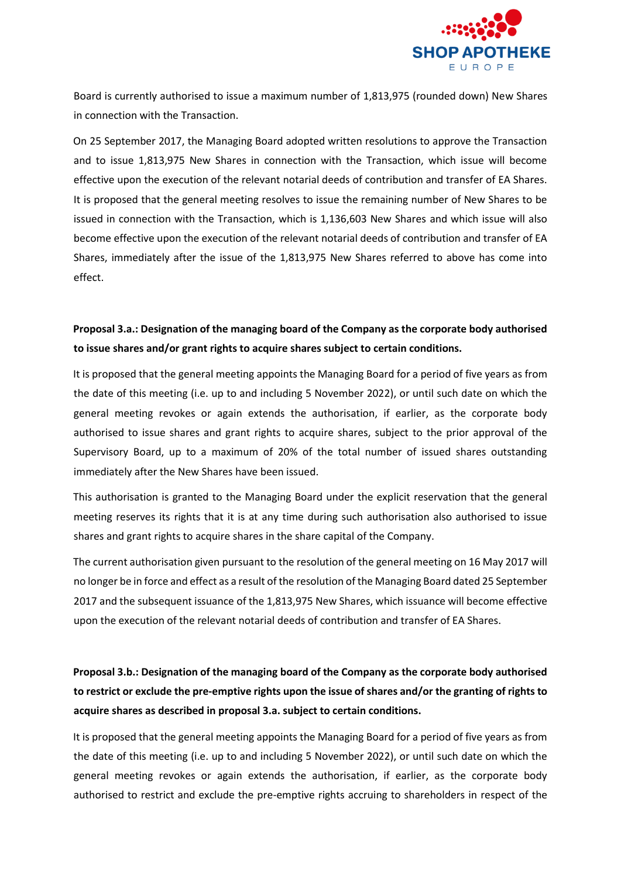

Board is currently authorised to issue a maximum number of 1,813,975 (rounded down) New Shares in connection with the Transaction.

On 25 September 2017, the Managing Board adopted written resolutions to approve the Transaction and to issue 1,813,975 New Shares in connection with the Transaction, which issue will become effective upon the execution of the relevant notarial deeds of contribution and transfer of EA Shares. It is proposed that the general meeting resolves to issue the remaining number of New Shares to be issued in connection with the Transaction, which is 1,136,603 New Shares and which issue will also become effective upon the execution of the relevant notarial deeds of contribution and transfer of EA Shares, immediately after the issue of the 1,813,975 New Shares referred to above has come into effect.

# **Proposal 3.a.: Designation of the managing board of the Company as the corporate body authorised to issue shares and/or grant rights to acquire shares subject to certain conditions.**

It is proposed that the general meeting appoints the Managing Board for a period of five years as from the date of this meeting (i.e. up to and including 5 November 2022), or until such date on which the general meeting revokes or again extends the authorisation, if earlier, as the corporate body authorised to issue shares and grant rights to acquire shares, subject to the prior approval of the Supervisory Board, up to a maximum of 20% of the total number of issued shares outstanding immediately after the New Shares have been issued.

This authorisation is granted to the Managing Board under the explicit reservation that the general meeting reserves its rights that it is at any time during such authorisation also authorised to issue shares and grant rights to acquire shares in the share capital of the Company.

The current authorisation given pursuant to the resolution of the general meeting on 16 May 2017 will no longer be in force and effect as a result of the resolution of the Managing Board dated 25 September 2017 and the subsequent issuance of the 1,813,975 New Shares, which issuance will become effective upon the execution of the relevant notarial deeds of contribution and transfer of EA Shares.

# **Proposal 3.b.: Designation of the managing board of the Company as the corporate body authorised to restrict or exclude the pre-emptive rights upon the issue of shares and/or the granting of rights to acquire shares as described in proposal 3.a. subject to certain conditions.**

It is proposed that the general meeting appoints the Managing Board for a period of five years as from the date of this meeting (i.e. up to and including 5 November 2022), or until such date on which the general meeting revokes or again extends the authorisation, if earlier, as the corporate body authorised to restrict and exclude the pre-emptive rights accruing to shareholders in respect of the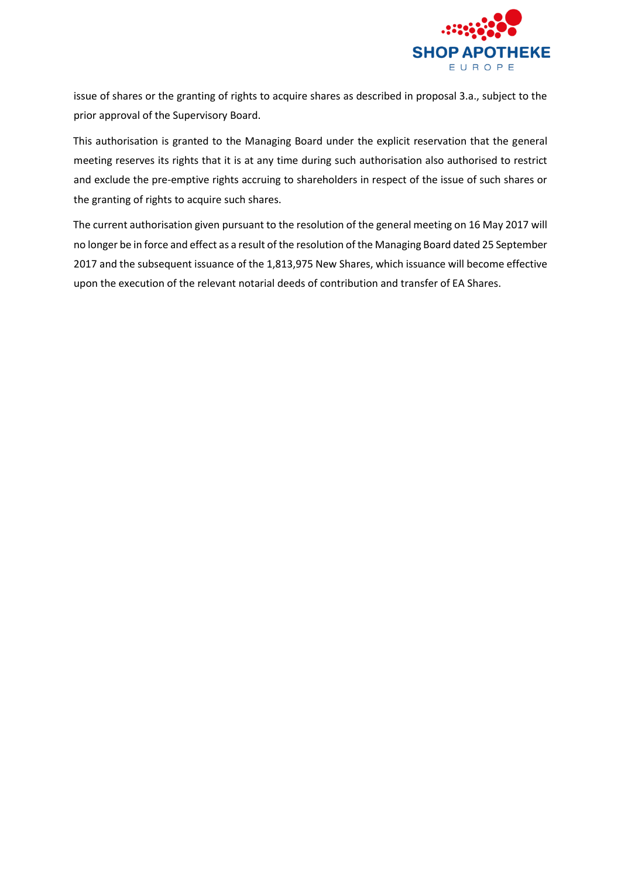

issue of shares or the granting of rights to acquire shares as described in proposal 3.a., subject to the prior approval of the Supervisory Board.

This authorisation is granted to the Managing Board under the explicit reservation that the general meeting reserves its rights that it is at any time during such authorisation also authorised to restrict and exclude the pre-emptive rights accruing to shareholders in respect of the issue of such shares or the granting of rights to acquire such shares.

The current authorisation given pursuant to the resolution of the general meeting on 16 May 2017 will no longer be in force and effect as a result of the resolution of the Managing Board dated 25 September 2017 and the subsequent issuance of the 1,813,975 New Shares, which issuance will become effective upon the execution of the relevant notarial deeds of contribution and transfer of EA Shares.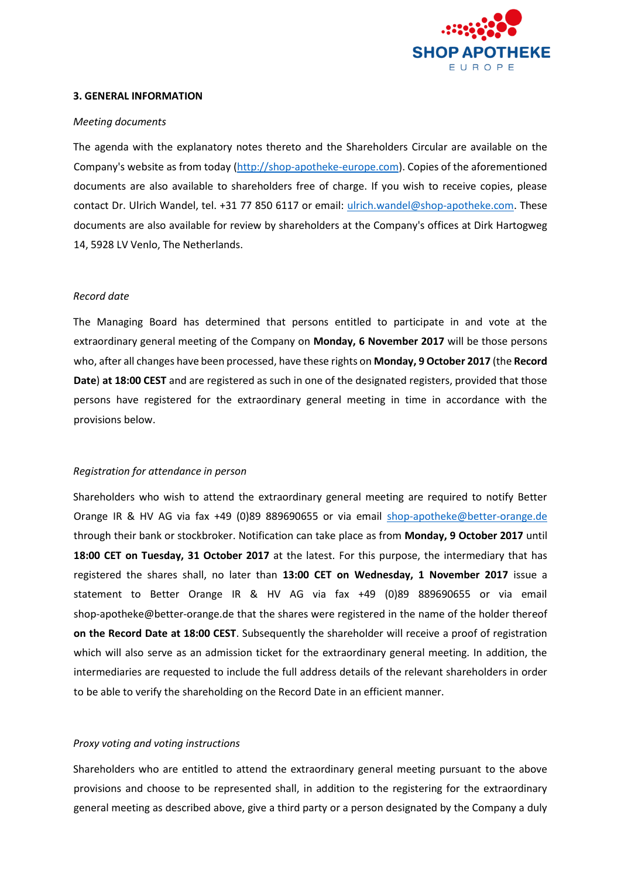

#### **3. GENERAL INFORMATION**

#### *Meeting documents*

The agenda with the explanatory notes thereto and the Shareholders Circular are available on the Company's website as from toda[y \(http://shop-apotheke-europe.com\).](http://shop-apotheke-europe.com/) Copies of the aforementioned documents are also available to shareholders free of charge. If you wish to receive copies, please contact Dr. Ulrich Wandel, tel. +31 77 850 6117 or email: ulrich.wandel@shop-apotheke.com. These documents are also available for review by shareholders at the Company's offices at Dirk Hartogweg 14, 5928 LV Venlo, The Netherlands.

### *Record date*

The Managing Board has determined that persons entitled to participate in and vote at the extraordinary general meeting of the Company on **Monday, 6 November 2017** will be those persons who, after all changes have been processed, have these rights on **Monday, 9 October 2017** (the **Record Date**) **at 18:00 CEST** and are registered as such in one of the designated registers, provided that those persons have registered for the extraordinary general meeting in time in accordance with the provisions below.

### *Registration for attendance in person*

Shareholders who wish to attend the extraordinary general meeting are required to notify Better Orange IR & HV AG via fax +49 (0)89 889690655 or via email shop-apotheke@better-orange.de through their bank or stockbroker. Notification can take place as from **Monday, 9 October 2017** until **18:00 CET on Tuesday, 31 October 2017** at the latest. For this purpose, the intermediary that has registered the shares shall, no later than **13:00 CET on Wednesday, 1 November 2017** issue a statement to Better Orange IR & HV AG via fax +49 (0)89 889690655 or via email shop-apotheke@better-orange.de that the shares were registered in the name of the holder thereof **on the Record Date at 18:00 CEST**. Subsequently the shareholder will receive a proof of registration which will also serve as an admission ticket for the extraordinary general meeting. In addition, the intermediaries are requested to include the full address details of the relevant shareholders in order to be able to verify the shareholding on the Record Date in an efficient manner.

### *Proxy voting and voting instructions*

Shareholders who are entitled to attend the extraordinary general meeting pursuant to the above provisions and choose to be represented shall, in addition to the registering for the extraordinary general meeting as described above, give a third party or a person designated by the Company a duly